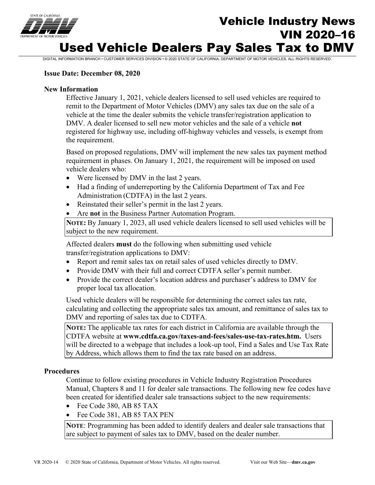

# Vehicle Industry News VIN 2020–16 Used Vehicle Dealers Pay Sales Tax to DMV

DIGITAL INFORMATION BRANCH • CUSTOMER SERVICES DIVISION • © 2020 STATE OF CALIFORNIA, DEPARTMENT OF MOTOR VEHICLES. ALL RIGHTS RESERVED.

### **Issue Date: December 08, 2020**

### **New Information**

Effective January 1, 2021, vehicle dealers licensed to sell used vehicles are required to remit to the Department of Motor Vehicles (DMV) any sales tax due on the sale of a vehicle at the time the dealer submits the vehicle transfer/registration application to DMV. A dealer licensed to sell new motor vehicles and the sale of a vehicle **not** registered for highway use, including off-highway vehicles and vessels, is exempt from the requirement.

Based on proposed regulations, DMV will implement the new sales tax payment method requirement in phases. On January 1, 2021, the requirement will be imposed on used vehicle dealers who:

- Were licensed by DMV in the last 2 years.
- Had a finding of underreporting by the California Department of Tax and Fee Administration (CDTFA) in the last 2 years.
- Reinstated their seller's permit in the last 2 years.
- Are **not** in the Business Partner Automation Program.

**NOTE:** By January 1, 2023, all used vehicle dealers licensed to sell used vehicles will be subject to the new requirement.

Affected dealers **must** do the following when submitting used vehicle transfer/registration applications to DMV:

- Report and remit sales tax on retail sales of used vehicles directly to DMV.
- Provide DMV with their full and correct CDTFA seller's permit number.
- Provide the correct dealer's location address and purchaser's address to DMV for proper local tax allocation.

Used vehicle dealers will be responsible for determining the correct sales tax rate, calculating and collecting the appropriate sales tax amount, and remittance of sales tax to DMV and reporting of sales tax due to CDTFA.

**NOTE:** The applicable tax rates for each district in California are available through the CDTFA website at **[www.cdtfa.ca.gov/taxes-and-fees/sales-use-tax-rates.htm.](http://www.cdtfa.ca.gov/taxes-and-fees/sales-use-tax-rates.htm)** Users will be directed to a webpage that includes a look-up tool, Find a Sales and Use Tax Rate by Address, which allows them to find the tax rate based on an address.

#### **Procedures**

Continue to follow existing procedures in Vehicle Industry Registration Procedures Manual, Chapters 8 and 11 for dealer sale transactions. The following new fee codes have been created for identified dealer sale transactions subject to the new requirements:

- Fee Code 380, AB 85 TAX
- Fee Code 381, AB 85 TAX PEN

**NOTE**: Programming has been added to identify dealers and dealer sale transactions that are subject to payment of sales tax to DMV, based on the dealer number.